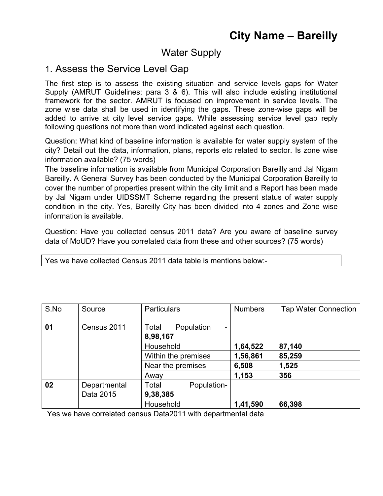# Water Supply

## 1. Assess the Service Level Gap

The first step is to assess the existing situation and service levels gaps for Water Supply (AMRUT Guidelines; para 3 & 6). This will also include existing institutional framework for the sector. AMRUT is focused on improvement in service levels. The zone wise data shall be used in identifying the gaps. These zone-wise gaps will be added to arrive at city level service gaps. While assessing service level gap reply following questions not more than word indicated against each question.

Question: What kind of baseline information is available for water supply system of the city? Detail out the data, information, plans, reports etc related to sector. Is zone wise information available? (75 words)

The baseline information is available from Municipal Corporation Bareilly and Jal Nigam Bareilly. A General Survey has been conducted by the Municipal Corporation Bareilly to cover the number of properties present within the city limit and a Report has been made by Jal Nigam under UIDSSMT Scheme regarding the present status of water supply condition in the city. Yes, Bareilly City has been divided into 4 zones and Zone wise information is available.

Question: Have you collected census 2011 data? Are you aware of baseline survey data of MoUD? Have you correlated data from these and other sources? (75 words)

| S.No | Source       | <b>Particulars</b>                                          | <b>Numbers</b> | <b>Tap Water Connection</b> |
|------|--------------|-------------------------------------------------------------|----------------|-----------------------------|
| 01   | Census 2011  | Total<br>Population<br>$\overline{\phantom{0}}$<br>8,98,167 |                |                             |
|      |              | Household                                                   | 1,64,522       | 87,140                      |
|      |              | Within the premises                                         | 1,56,861       | 85,259                      |
|      |              | Near the premises                                           | 6,508          | 1,525                       |
|      |              | Away                                                        | 1,153          | 356                         |
| 02   | Departmental | Total<br>Population-                                        |                |                             |
|      | Data 2015    | 9,38,385                                                    |                |                             |
|      |              | Household                                                   | 1,41,590       | 66,398                      |

Yes we have collected Census 2011 data table is mentions below:-

Yes we have correlated census Data2011 with departmental data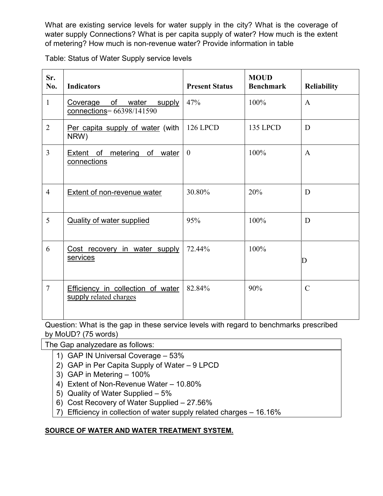What are existing service levels for water supply in the city? What is the coverage of water supply Connections? What is per capita supply of water? How much is the extent of metering? How much is non-revenue water? Provide information in table

Table: Status of Water Supply service levels

| Sr.<br>No.     | <b>Indicators</b>                                                  | <b>Present Status</b> | <b>MOUD</b><br><b>Benchmark</b> | <b>Reliability</b> |
|----------------|--------------------------------------------------------------------|-----------------------|---------------------------------|--------------------|
| $\mathbf{1}$   | Coverage of water<br>supply<br>$connections = 66398/141590$        | 47%                   | 100%                            | $\mathbf{A}$       |
| $\overline{2}$ | Per capita supply of water (with<br>NRW)                           | <b>126 LPCD</b>       | <b>135 LPCD</b>                 | D                  |
| $\overline{3}$ | <b>Extent</b> of metering<br>of water<br>connections               | $\overline{0}$        | 100%                            | $\mathbf{A}$       |
| $\overline{4}$ | Extent of non-revenue water                                        | 30.80%                | 20%                             | D                  |
| 5              | <b>Quality of water supplied</b>                                   | 95%                   | 100%                            | D                  |
| 6              | Cost recovery in water supply<br>services                          | 72.44%                | 100%                            | D                  |
| $\overline{7}$ | <b>Efficiency in collection of water</b><br>supply related charges | 82.84%                | 90%                             | $\overline{C}$     |

Question: What is the gap in these service levels with regard to benchmarks prescribed by MoUD? (75 words)

The Gap analyzedare as follows:

- 1) GAP IN Universal Coverage 53%
- 2) GAP in Per Capita Supply of Water 9 LPCD
- 3) GAP in Metering 100%
- 4) Extent of Non-Revenue Water 10.80%
- 5) Quality of Water Supplied 5%
- 6) Cost Recovery of Water Supplied 27.56%
- 7) Efficiency in collection of water supply related charges 16.16%

### **SOURCE OF WATER AND WATER TREATMENT SYSTEM.**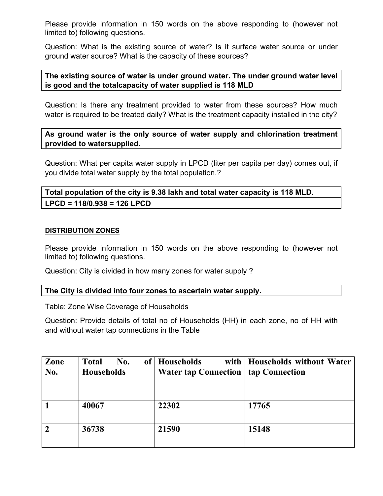Please provide information in 150 words on the above responding to (however not limited to) following questions.

Question: What is the existing source of water? Is it surface water source or under ground water source? What is the capacity of these sources?

#### **The existing source of water is under ground water. The under ground water level is good and the totalcapacity of water supplied is 118 MLD**

Question: Is there any treatment provided to water from these sources? How much water is required to be treated daily? What is the treatment capacity installed in the city?

**As ground water is the only source of water supply and chlorination treatment provided to watersupplied.** 

Question: What per capita water supply in LPCD (liter per capita per day) comes out, if you divide total water supply by the total population.?

**Total population of the city is 9.38 lakh and total water capacity is 118 MLD. LPCD = 118/0.938 = 126 LPCD**

#### **DISTRIBUTION ZONES**

Please provide information in 150 words on the above responding to (however not limited to) following questions.

Question: City is divided in how many zones for water supply ?

#### **The City is divided into four zones to ascertain water supply.**

Table: Zone Wise Coverage of Households

Question: Provide details of total no of Households (HH) in each zone, no of HH with and without water tap connections in the Table

| Zone<br>No. | No.<br><b>Total</b><br><b>Households</b> | of   Households<br><b>Water tap Connection   tap Connection</b> | with   Households without Water |
|-------------|------------------------------------------|-----------------------------------------------------------------|---------------------------------|
|             | 40067                                    | 22302                                                           | 17765                           |
|             | 36738                                    | 21590                                                           | 15148                           |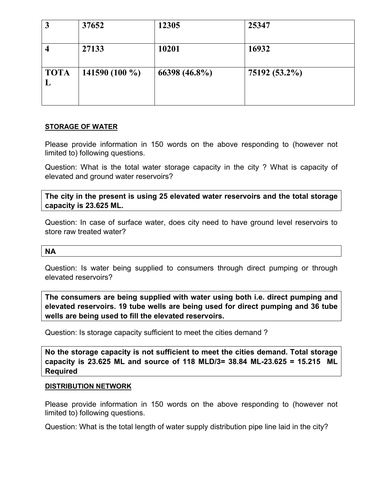|             | 37652           | 12305         | 25347         |
|-------------|-----------------|---------------|---------------|
|             | 27133           | 10201         | 16932         |
| <b>TOTA</b> | 141590 $(100\%$ | 66398 (46.8%) | 75192 (53.2%) |

#### **STORAGE OF WATER**

Please provide information in 150 words on the above responding to (however not limited to) following questions.

Question: What is the total water storage capacity in the city ? What is capacity of elevated and ground water reservoirs?

**The city in the present is using 25 elevated water reservoirs and the total storage capacity is 23.625 ML.**

Question: In case of surface water, does city need to have ground level reservoirs to store raw treated water?

#### **NA**

Question: Is water being supplied to consumers through direct pumping or through elevated reservoirs?

**The consumers are being supplied with water using both i.e. direct pumping and elevated reservoirs. 19 tube wells are being used for direct pumping and 36 tube wells are being used to fill the elevated reservoirs.**

Question: Is storage capacity sufficient to meet the cities demand ?

**No the storage capacity is not sufficient to meet the cities demand. Total storage capacity is 23.625 ML and source of 118 MLD/3= 38.84 ML-23.625 = 15.215 ML Required**

#### **DISTRIBUTION NETWORK**

Please provide information in 150 words on the above responding to (however not limited to) following questions.

Question: What is the total length of water supply distribution pipe line laid in the city?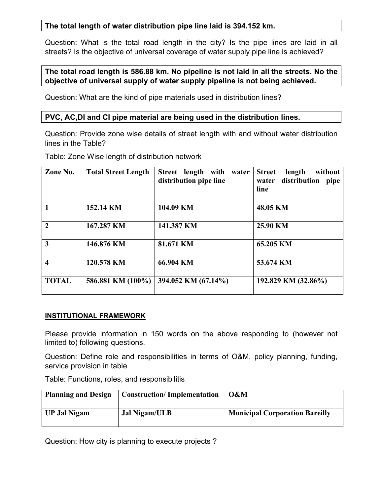#### **The total length of water distribution pipe line laid is 394.152 km.**

Question: What is the total road length in the city? Is the pipe lines are laid in all streets? Is the objective of universal coverage of water supply pipe line is achieved?

### **The total road length is 586.88 km. No pipeline is not laid in all the streets. No the objective of universal supply of water supply pipeline is not being achieved.**

Question: What are the kind of pipe materials used in distribution lines?

#### **PVC, AC,DI and CI pipe material are being used in the distribution lines.**

Question: Provide zone wise details of street length with and without water distribution lines in the Table?

Table: Zone Wise length of distribution network

| Zone No.                | <b>Total Street Length</b> | Street length with<br>water<br>distribution pipe line | without<br><b>Street</b><br>length<br>distribution<br>pipe<br>water<br>line |
|-------------------------|----------------------------|-------------------------------------------------------|-----------------------------------------------------------------------------|
| $\blacksquare$          | 152.14 KM                  | 104.09 KM                                             | 48.05 KM                                                                    |
| $\overline{2}$          | 167.287 KM                 | 141.387 KM                                            | 25.90 KM                                                                    |
| $\overline{3}$          | 146.876 KM                 | 81.671 KM                                             | 65.205 KM                                                                   |
| $\overline{\mathbf{4}}$ | 120.578 KM                 | 66.904 KM                                             | 53.674 KM                                                                   |
| <b>TOTAL</b>            | 586.881 KM (100%)          | 394.052 KM (67.14%)                                   | 192.829 KM (32.86%)                                                         |

#### **INSTITUTIONAL FRAMEWORK**

Please provide information in 150 words on the above responding to (however not limited to) following questions.

Question: Define role and responsibilities in terms of O&M, policy planning, funding, service provision in table

Table: Functions, roles, and responsibilitis

| <b>Planning and Design</b> | <b>Construction/Implementation</b> | O&M                                   |
|----------------------------|------------------------------------|---------------------------------------|
| <b>UP Jal Nigam</b>        | Jal Nigam/ULB                      | <b>Municipal Corporation Bareilly</b> |

Question: How city is planning to execute projects ?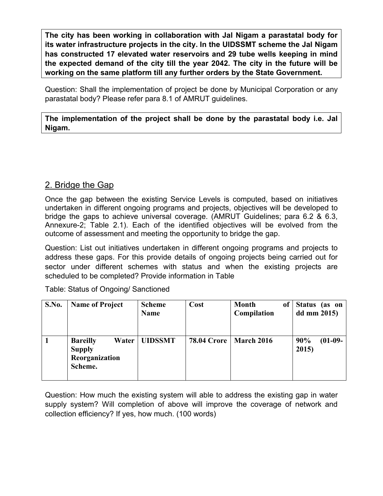**The city has been working in collaboration with Jal Nigam a parastatal body for its water infrastructure projects in the city. In the UIDSSMT scheme the Jal Nigam has constructed 17 elevated water reservoirs and 29 tube wells keeping in mind the expected demand of the city till the year 2042. The city in the future will be working on the same platform till any further orders by the State Government.**

Question: Shall the implementation of project be done by Municipal Corporation or any parastatal body? Please refer para 8.1 of AMRUT guidelines.

**The implementation of the project shall be done by the parastatal body i.e. Jal Nigam.**

## 2. Bridge the Gap

Once the gap between the existing Service Levels is computed, based on initiatives undertaken in different ongoing programs and projects, objectives will be developed to bridge the gaps to achieve universal coverage. (AMRUT Guidelines; para 6.2 & 6.3, Annexure-2; Table 2.1). Each of the identified objectives will be evolved from the outcome of assessment and meeting the opportunity to bridge the gap.

Question: List out initiatives undertaken in different ongoing programs and projects to address these gaps. For this provide details of ongoing projects being carried out for sector under different schemes with status and when the existing projects are scheduled to be completed? Provide information in Table

| S.No. | <b>Name of Project</b>                                                 | <b>Scheme</b><br><b>Name</b> | Cost                            | <b>Month</b><br><sub>of</sub><br>Compilation | <b>Status</b><br>(as on<br>dd mm $2015$ |
|-------|------------------------------------------------------------------------|------------------------------|---------------------------------|----------------------------------------------|-----------------------------------------|
|       | <b>Bareilly</b><br>Water<br><b>Supply</b><br>Reorganization<br>Scheme. | <b>UIDSSMT</b>               | <b>78.04 Crore   March 2016</b> |                                              | 90%<br>$(01-09-$<br>2015                |

Table: Status of Ongoing/ Sanctioned

Question: How much the existing system will able to address the existing gap in water supply system? Will completion of above will improve the coverage of network and collection efficiency? If yes, how much. (100 words)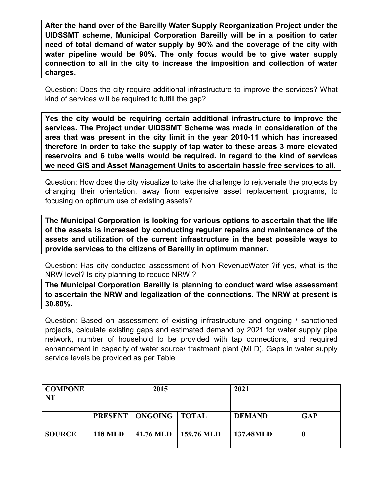**After the hand over of the Bareilly Water Supply Reorganization Project under the UIDSSMT scheme, Municipal Corporation Bareilly will be in a position to cater need of total demand of water supply by 90% and the coverage of the city with water pipeline would be 90%. The only focus would be to give water supply connection to all in the city to increase the imposition and collection of water charges.**

Question: Does the city require additional infrastructure to improve the services? What kind of services will be required to fulfill the gap?

**Yes the city would be requiring certain additional infrastructure to improve the services. The Project under UIDSSMT Scheme was made in consideration of the area that was present in the city limit in the year 2010-11 which has increased therefore in order to take the supply of tap water to these areas 3 more elevated reservoirs and 6 tube wells would be required. In regard to the kind of services we need GIS and Asset Management Units to ascertain hassle free services to all.**

Question: How does the city visualize to take the challenge to rejuvenate the projects by changing their orientation, away from expensive asset replacement programs, to focusing on optimum use of existing assets?

**The Municipal Corporation is looking for various options to ascertain that the life of the assets is increased by conducting regular repairs and maintenance of the assets and utilization of the current infrastructure in the best possible ways to provide services to the citizens of Bareilly in optimum manner.**

Question: Has city conducted assessment of Non RevenueWater ?if yes, what is the NRW level? Is city planning to reduce NRW ?

**The Municipal Corporation Bareilly is planning to conduct ward wise assessment to ascertain the NRW and legalization of the connections. The NRW at present is 30.80%.**

Question: Based on assessment of existing infrastructure and ongoing / sanctioned projects, calculate existing gaps and estimated demand by 2021 for water supply pipe network, number of household to be provided with tap connections, and required enhancement in capacity of water source/ treatment plant (MLD). Gaps in water supply service levels be provided as per Table

| <b>COMPONE</b><br><b>NT</b> | 2015           |                                  |                        | 2021          |            |
|-----------------------------|----------------|----------------------------------|------------------------|---------------|------------|
|                             |                | <b>PRESENT   ONGOING   TOTAL</b> |                        | <b>DEMAND</b> | <b>GAP</b> |
| <b>SOURCE</b>               | <b>118 MLD</b> |                                  | 41.76 MLD   159.76 MLD | 137.48MLD     | O          |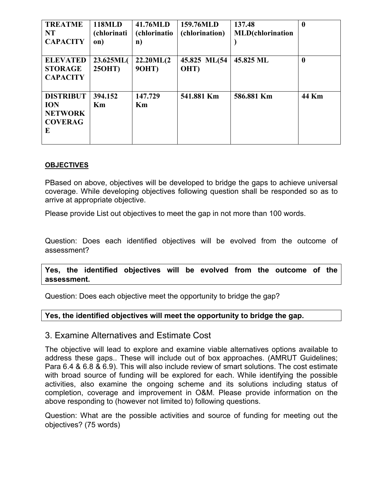| <b>TREATME</b><br><b>NT</b><br><b>CAPACITY</b>                          | <b>118MLD</b><br><i>(chlorinati)</i><br>on) | 41.76MLD<br><i>(chlorinatio)</i><br>n) | 159.76MLD<br>(chlorination) | 137.48<br><b>MLD</b> (chlorination | $\boldsymbol{0}$ |
|-------------------------------------------------------------------------|---------------------------------------------|----------------------------------------|-----------------------------|------------------------------------|------------------|
| <b>ELEVATED</b><br><b>STORAGE</b><br><b>CAPACITY</b>                    | 23.625ML(<br>$25OHT$ )                      | 22.20ML(2)<br><b>90HT</b> )            | 45.825 ML(54<br>OHT)        | 45.825 ML                          | $\boldsymbol{0}$ |
| <b>DISTRIBUT</b><br><b>ION</b><br><b>NETWORK</b><br><b>COVERAG</b><br>E | 394.152<br>Km                               | 147.729<br>Km                          | 541.881 Km                  | 586.881 Km                         | 44 Km            |

#### **OBJECTIVES**

PBased on above, objectives will be developed to bridge the gaps to achieve universal coverage. While developing objectives following question shall be responded so as to arrive at appropriate objective.

Please provide List out objectives to meet the gap in not more than 100 words.

Question: Does each identified objectives will be evolved from the outcome of assessment?

**Yes, the identified objectives will be evolved from the outcome of the assessment.**

Question: Does each objective meet the opportunity to bridge the gap?

#### **Yes, the identified objectives will meet the opportunity to bridge the gap.**

#### 3. Examine Alternatives and Estimate Cost

The objective will lead to explore and examine viable alternatives options available to address these gaps.. These will include out of box approaches. (AMRUT Guidelines; Para 6.4 & 6.8 & 6.9). This will also include review of smart solutions. The cost estimate with broad source of funding will be explored for each. While identifying the possible activities, also examine the ongoing scheme and its solutions including status of completion, coverage and improvement in O&M. Please provide information on the above responding to (however not limited to) following questions.

Question: What are the possible activities and source of funding for meeting out the objectives? (75 words)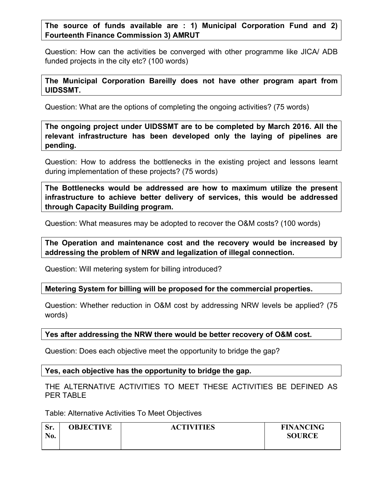#### **The source of funds available are : 1) Municipal Corporation Fund and 2) Fourteenth Finance Commission 3) AMRUT**

Question: How can the activities be converged with other programme like JICA/ ADB funded projects in the city etc? (100 words)

#### **The Municipal Corporation Bareilly does not have other program apart from UIDSSMT.**

Question: What are the options of completing the ongoing activities? (75 words)

**The ongoing project under UIDSSMT are to be completed by March 2016. All the relevant infrastructure has been developed only the laying of pipelines are pending.**

Question: How to address the bottlenecks in the existing project and lessons learnt during implementation of these projects? (75 words)

**The Bottlenecks would be addressed are how to maximum utilize the present infrastructure to achieve better delivery of services, this would be addressed through Capacity Building program.**

Question: What measures may be adopted to recover the O&M costs? (100 words)

**The Operation and maintenance cost and the recovery would be increased by addressing the problem of NRW and legalization of illegal connection.**

Question: Will metering system for billing introduced?

**Metering System for billing will be proposed for the commercial properties.**

Question: Whether reduction in O&M cost by addressing NRW levels be applied? (75 words)

#### **Yes after addressing the NRW there would be better recovery of O&M cost.**

Question: Does each objective meet the opportunity to bridge the gap?

#### **Yes, each objective has the opportunity to bridge the gap.**

THE ALTERNATIVE ACTIVITIES TO MEET THESE ACTIVITIES BE DEFINED AS PER TABLE

Table: Alternative Activities To Meet Objectives

| Sr. | <b>OBJECTIVE</b> | <b>ACTIVITIES</b> | <b>FINANCING</b> |
|-----|------------------|-------------------|------------------|
| No. |                  |                   | <b>SOURCE</b>    |
|     |                  |                   |                  |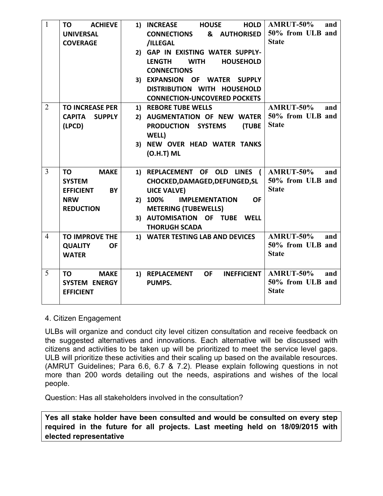| $\mathbf{1}$   | <b>ACHIEVE</b><br>ΤO<br><b>UNIVERSAL</b> | <b>HOLD</b><br>1) INCREASE<br><b>HOUSE</b><br>& AUTHORISED<br><b>CONNECTIONS</b> | <b>AMRUT-50%</b><br>and<br>50% from ULB and |
|----------------|------------------------------------------|----------------------------------------------------------------------------------|---------------------------------------------|
|                | <b>COVERAGE</b>                          | /ILLEGAL                                                                         | <b>State</b>                                |
|                |                                          | 2) GAP IN EXISTING WATER SUPPLY-                                                 |                                             |
|                |                                          | <b>LENGTH</b><br><b>WITH</b><br><b>HOUSEHOLD</b>                                 |                                             |
|                |                                          | <b>CONNECTIONS</b>                                                               |                                             |
|                |                                          | 3) EXPANSION OF WATER<br><b>SUPPLY</b>                                           |                                             |
|                |                                          | DISTRIBUTION WITH HOUSEHOLD                                                      |                                             |
|                |                                          | <b>CONNECTION-UNCOVERED POCKETS</b>                                              |                                             |
| $\overline{2}$ | <b>TO INCREASE PER</b>                   | 1) REBORE TUBE WELLS                                                             | <b>AMRUT-50%</b><br>and                     |
|                | <b>CAPITA</b><br><b>SUPPLY</b>           | 2) AUGMENTATION OF NEW WATER                                                     | 50% from ULB and                            |
|                | (LPCD)                                   | <b>PRODUCTION</b><br><b>SYSTEMS</b><br><b>(TUBE</b>                              | <b>State</b>                                |
|                |                                          | WELL)                                                                            |                                             |
|                |                                          | 3) NEW OVER HEAD WATER TANKS                                                     |                                             |
|                |                                          | $(O.H.T)$ ML                                                                     |                                             |
|                |                                          |                                                                                  |                                             |
| $\overline{3}$ | <b>MAKE</b><br>ΤO                        | 1) REPLACEMENT OF OLD<br><b>LINES</b>                                            | <b>AMRUT-50%</b><br>and                     |
|                | <b>SYSTEM</b>                            | CHOCKED, DAMAGED, DEFUNGED, SL                                                   | 50% from ULB and                            |
|                | <b>EFFICIENT</b><br>BY                   | <b>UICE VALVE)</b>                                                               | <b>State</b>                                |
|                | <b>NRW</b>                               | 2) 100%<br><b>IMPLEMENTATION</b><br><b>OF</b>                                    |                                             |
|                | <b>REDUCTION</b>                         | <b>METERING (TUBEWELLS)</b>                                                      |                                             |
|                |                                          | 3) AUTOMISATION OF TUBE<br><b>WELL</b>                                           |                                             |
|                |                                          | <b>THORUGH SCADA</b>                                                             |                                             |
| $\overline{4}$ | <b>TO IMPROVE THE</b>                    | 1) WATER TESTING LAB AND DEVICES                                                 | <b>AMRUT-50%</b><br>and                     |
|                | <b>QUALITY</b><br><b>OF</b>              |                                                                                  | 50% from ULB and                            |
|                | <b>WATER</b>                             |                                                                                  | <b>State</b>                                |
|                |                                          |                                                                                  |                                             |
| 5              | ΤO<br><b>MAKE</b>                        | <b>INEFFICIENT</b><br>1) REPLACEMENT<br><b>OF</b>                                | <b>AMRUT-50%</b><br>and                     |
|                | <b>SYSTEM ENERGY</b>                     | <b>PUMPS.</b>                                                                    | 50% from ULB and                            |
|                | <b>EFFICIENT</b>                         |                                                                                  | <b>State</b>                                |
|                |                                          |                                                                                  |                                             |

#### 4. Citizen Engagement

ULBs will organize and conduct city level citizen consultation and receive feedback on the suggested alternatives and innovations. Each alternative will be discussed with citizens and activities to be taken up will be prioritized to meet the service level gaps. ULB will prioritize these activities and their scaling up based on the available resources. (AMRUT Guidelines; Para 6.6, 6.7 & 7.2). Please explain following questions in not more than 200 words detailing out the needs, aspirations and wishes of the local people.

Question: Has all stakeholders involved in the consultation?

**Yes all stake holder have been consulted and would be consulted on every step required in the future for all projects. Last meeting held on 18/09/2015 with elected representative**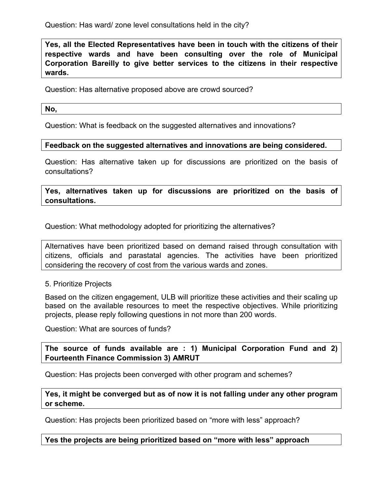Question: Has ward/ zone level consultations held in the city?

**Yes, all the Elected Representatives have been in touch with the citizens of their respective wards and have been consulting over the role of Municipal Corporation Bareilly to give better services to the citizens in their respective wards.**

Question: Has alternative proposed above are crowd sourced?

**No,** 

Question: What is feedback on the suggested alternatives and innovations?

#### **Feedback on the suggested alternatives and innovations are being considered.**

Question: Has alternative taken up for discussions are prioritized on the basis of consultations?

**Yes, alternatives taken up for discussions are prioritized on the basis of consultations.**

Question: What methodology adopted for prioritizing the alternatives?

Alternatives have been prioritized based on demand raised through consultation with citizens, officials and parastatal agencies. The activities have been prioritized considering the recovery of cost from the various wards and zones.

#### 5. Prioritize Projects

Based on the citizen engagement, ULB will prioritize these activities and their scaling up based on the available resources to meet the respective objectives. While prioritizing projects, please reply following questions in not more than 200 words.

Question: What are sources of funds?

**The source of funds available are : 1) Municipal Corporation Fund and 2) Fourteenth Finance Commission 3) AMRUT**

Question: Has projects been converged with other program and schemes?

**Yes, it might be converged but as of now it is not falling under any other program or scheme.**

Question: Has projects been prioritized based on "more with less" approach?

**Yes the projects are being prioritized based on "more with less" approach**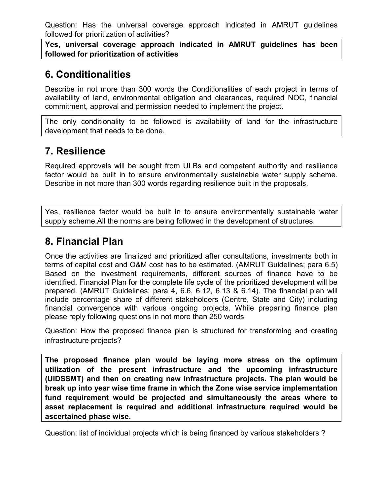Question: Has the universal coverage approach indicated in AMRUT guidelines followed for prioritization of activities?

**Yes, universal coverage approach indicated in AMRUT guidelines has been followed for prioritization of activities**

# **6. Conditionalities**

Describe in not more than 300 words the Conditionalities of each project in terms of availability of land, environmental obligation and clearances, required NOC, financial commitment, approval and permission needed to implement the project.

The only conditionality to be followed is availability of land for the infrastructure development that needs to be done.

# **7. Resilience**

Required approvals will be sought from ULBs and competent authority and resilience factor would be built in to ensure environmentally sustainable water supply scheme. Describe in not more than 300 words regarding resilience built in the proposals.

Yes, resilience factor would be built in to ensure environmentally sustainable water supply scheme.All the norms are being followed in the development of structures.

# **8. Financial Plan**

Once the activities are finalized and prioritized after consultations, investments both in terms of capital cost and O&M cost has to be estimated. (AMRUT Guidelines; para 6.5) Based on the investment requirements, different sources of finance have to be identified. Financial Plan for the complete life cycle of the prioritized development will be prepared. (AMRUT Guidelines; para 4, 6.6, 6.12, 6.13 & 6.14). The financial plan will include percentage share of different stakeholders (Centre, State and City) including financial convergence with various ongoing projects. While preparing finance plan please reply following questions in not more than 250 words

Question: How the proposed finance plan is structured for transforming and creating infrastructure projects?

**The proposed finance plan would be laying more stress on the optimum utilization of the present infrastructure and the upcoming infrastructure (UIDSSMT) and then on creating new infrastructure projects. The plan would be break up into year wise time frame in which the Zone wise service implementation fund requirement would be projected and simultaneously the areas where to asset replacement is required and additional infrastructure required would be ascertained phase wise.**

Question: list of individual projects which is being financed by various stakeholders ?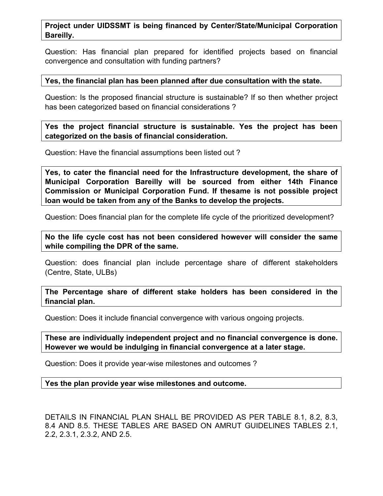#### **Project under UIDSSMT is being financed by Center/State/Municipal Corporation Bareilly.**

Question: Has financial plan prepared for identified projects based on financial convergence and consultation with funding partners?

#### **Yes, the financial plan has been planned after due consultation with the state.**

Question: Is the proposed financial structure is sustainable? If so then whether project has been categorized based on financial considerations ?

**Yes the project financial structure is sustainable. Yes the project has been categorized on the basis of financial consideration.** 

Question: Have the financial assumptions been listed out ?

**Yes, to cater the financial need for the Infrastructure development, the share of Municipal Corporation Bareilly will be sourced from either 14th Finance Commission or Municipal Corporation Fund. If thesame is not possible project loan would be taken from any of the Banks to develop the projects.**

Question: Does financial plan for the complete life cycle of the prioritized development?

**No the life cycle cost has not been considered however will consider the same while compiling the DPR of the same.**

Question: does financial plan include percentage share of different stakeholders (Centre, State, ULBs)

**The Percentage share of different stake holders has been considered in the financial plan.**

Question: Does it include financial convergence with various ongoing projects.

**These are individually independent project and no financial convergence is done. However we would be indulging in financial convergence at a later stage.**

Question: Does it provide year-wise milestones and outcomes ?

**Yes the plan provide year wise milestones and outcome.**

DETAILS IN FINANCIAL PLAN SHALL BE PROVIDED AS PER TABLE 8.1, 8.2, 8.3, 8.4 AND 8.5. THESE TABLES ARE BASED ON AMRUT GUIDELINES TABLES 2.1, 2.2, 2.3.1, 2.3.2, AND 2.5.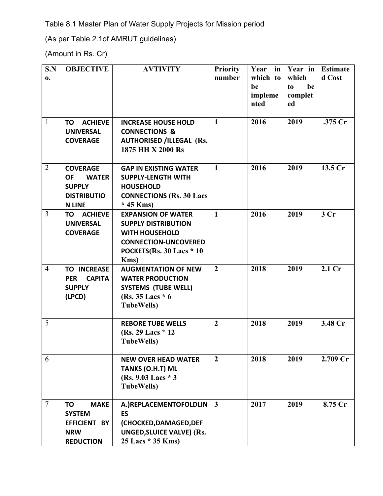Table 8.1 Master Plan of Water Supply Projects for Mission period

(As per Table 2.1of AMRUT guidelines)

(Amount in Rs. Cr)

| S.N             | <b>OBJECTIVE</b>            | <b>AVTIVITY</b>                  | <b>Priority</b> | Year in  | <b>Year</b> in | <b>Estimate</b>    |
|-----------------|-----------------------------|----------------------------------|-----------------|----------|----------------|--------------------|
| $\mathbf{0}$ .  |                             |                                  | number          | which to | which          | d Cost             |
|                 |                             |                                  |                 | be       | be<br>to       |                    |
|                 |                             |                                  |                 | impleme  | complet        |                    |
|                 |                             |                                  |                 | nted     | ed             |                    |
|                 |                             |                                  |                 |          |                |                    |
| $\mathbf{1}$    | <b>ACHIEVE</b><br>TO        | <b>INCREASE HOUSE HOLD</b>       | $\mathbf{1}$    | 2016     | 2019           | $.375$ Cr          |
|                 | <b>UNIVERSAL</b>            | <b>CONNECTIONS &amp;</b>         |                 |          |                |                    |
|                 | <b>COVERAGE</b>             | <b>AUTHORISED /ILLEGAL (Rs.</b>  |                 |          |                |                    |
|                 |                             | 1875 HH X 2000 Rs                |                 |          |                |                    |
|                 |                             |                                  |                 |          |                |                    |
| $\overline{2}$  | <b>COVERAGE</b>             | <b>GAP IN EXISTING WATER</b>     | $\mathbf{1}$    | 2016     | 2019           | 13.5 <sub>cr</sub> |
|                 | <b>WATER</b><br><b>OF</b>   | <b>SUPPLY-LENGTH WITH</b>        |                 |          |                |                    |
|                 | <b>SUPPLY</b>               | <b>HOUSEHOLD</b>                 |                 |          |                |                    |
|                 | <b>DISTRIBUTIO</b>          | <b>CONNECTIONS (Rs. 30 Lacs</b>  |                 |          |                |                    |
|                 | <b>N LINE</b>               | $*$ 45 Kms)                      |                 |          |                |                    |
| 3               | <b>ACHIEVE</b><br>TO        | <b>EXPANSION OF WATER</b>        | $\mathbf{1}$    | 2016     | 2019           | 3 <sub>cr</sub>    |
|                 | <b>UNIVERSAL</b>            | <b>SUPPLY DISTRIBUTION</b>       |                 |          |                |                    |
|                 | <b>COVERAGE</b>             | <b>WITH HOUSEHOLD</b>            |                 |          |                |                    |
|                 |                             | <b>CONNECTION-UNCOVERED</b>      |                 |          |                |                    |
|                 |                             | POCKETS(Rs. 30 Lacs * 10         |                 |          |                |                    |
|                 |                             | Kms)                             |                 |          |                |                    |
| $\overline{4}$  | <b>TO INCREASE</b>          | <b>AUGMENTATION OF NEW</b>       | $\overline{2}$  | 2018     | 2019           | 2.1 Cr             |
|                 | <b>PER</b><br><b>CAPITA</b> | <b>WATER PRODUCTION</b>          |                 |          |                |                    |
|                 | <b>SUPPLY</b>               | <b>SYSTEMS (TUBE WELL)</b>       |                 |          |                |                    |
|                 | (LPCD)                      | (Rs. $35$ Lacs $*$ 6             |                 |          |                |                    |
|                 |                             | <b>TubeWells</b> )               |                 |          |                |                    |
|                 |                             |                                  |                 |          |                |                    |
| 5               |                             | <b>REBORE TUBE WELLS</b>         | $\overline{2}$  | 2018     | 2019           | 3.48 Cr            |
|                 |                             | (Rs. 29 Lacs * 12)               |                 |          |                |                    |
|                 |                             | <b>TubeWells)</b>                |                 |          |                |                    |
|                 |                             |                                  |                 |          |                |                    |
| 6               |                             | <b>NEW OVER HEAD WATER</b>       | $\overline{2}$  | 2018     | 2019           | 2.709 Cr           |
|                 |                             | <b>TANKS (O.H.T) ML</b>          |                 |          |                |                    |
|                 |                             | (Rs. 9.03 Lacs * 3)              |                 |          |                |                    |
|                 |                             | <b>TubeWells</b> )               |                 |          |                |                    |
|                 |                             |                                  |                 |          |                |                    |
| $7\phantom{.0}$ | <b>MAKE</b><br>TO           | A.) REPLACEMENTOFOLDLIN          | $\mathbf{3}$    | 2017     | 2019           | 8.75 Cr            |
|                 | <b>SYSTEM</b>               | <b>ES</b>                        |                 |          |                |                    |
|                 | EFFICIENT BY                | (CHOCKED, DAMAGED, DEF           |                 |          |                |                    |
|                 | <b>NRW</b>                  | <b>UNGED, SLUICE VALVE) (Rs.</b> |                 |          |                |                    |
|                 | <b>REDUCTION</b>            | 25 Lacs * 35 Kms)                |                 |          |                |                    |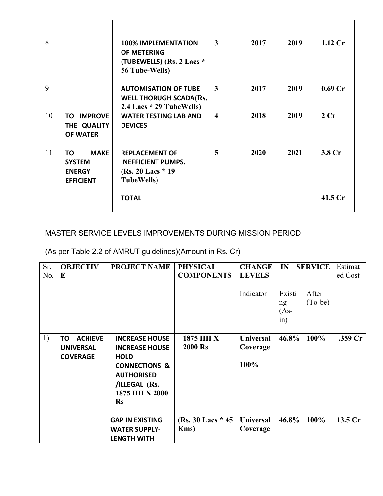| 8  |                                                                         | <b>100% IMPLEMENTATION</b><br>OF METERING<br>(TUBEWELLS) (Rs. 2 Lacs *<br>56 Tube-Wells)       | 3                       | 2017 | 2019 | $1.12$ Cr          |
|----|-------------------------------------------------------------------------|------------------------------------------------------------------------------------------------|-------------------------|------|------|--------------------|
| 9  |                                                                         | <b>AUTOMISATION OF TUBE</b><br><b>WELL THORUGH SCADA(Rs.</b><br>2.4 Lacs * 29 TubeWells)       | 3                       | 2017 | 2019 | 0.69 <sub>cr</sub> |
| 10 | <b>IMPROVE</b><br>TO I<br>THE QUALITY<br><b>OF WATER</b>                | <b>WATER TESTING LAB AND</b><br><b>DEVICES</b>                                                 | $\overline{\mathbf{4}}$ | 2018 | 2019 | 2Cr                |
| 11 | TO<br><b>MAKE</b><br><b>SYSTEM</b><br><b>ENERGY</b><br><b>EFFICIENT</b> | <b>REPLACEMENT OF</b><br><b>INEFFICIENT PUMPS.</b><br>(Rs. 20 Lacs * 19)<br><b>TubeWells</b> ) | 5                       | 2020 | 2021 | 3.8 Cr             |
|    |                                                                         | <b>TOTAL</b>                                                                                   |                         |      |      | $41.5$ Cr          |

## MASTER SERVICE LEVELS IMPROVEMENTS DURING MISSION PERIOD

(As per Table 2.2 of AMRUT guidelines)(Amount in Rs. Cr)

| Sr. | <b>OBJECTIV</b>      | <b>PROJECT NAME</b>                           | <b>PHYSICAL</b>     | <b>CHANGE</b>    | Estimat                       |                    |                    |
|-----|----------------------|-----------------------------------------------|---------------------|------------------|-------------------------------|--------------------|--------------------|
| No. | E                    |                                               | <b>COMPONENTS</b>   | <b>LEVELS</b>    |                               |                    | ed Cost            |
|     |                      |                                               |                     |                  |                               |                    |                    |
|     |                      |                                               |                     | Indicator        | Existi<br>ng<br>$(As-$<br>in) | After<br>$(To-be)$ |                    |
| 1)  | <b>ACHIEVE</b><br>TO | <b>INCREASE HOUSE</b>                         | 1875 HH X           | <b>Universal</b> | 46.8%                         | 100%               | .359 Cr            |
|     | <b>UNIVERSAL</b>     | <b>INCREASE HOUSE</b>                         | <b>2000 Rs</b>      | Coverage         |                               |                    |                    |
|     | <b>COVERAGE</b>      | <b>HOLD</b>                                   |                     |                  |                               |                    |                    |
|     |                      | <b>CONNECTIONS &amp;</b><br><b>AUTHORISED</b> |                     | 100%             |                               |                    |                    |
|     |                      | /ILLEGAL (Rs.                                 |                     |                  |                               |                    |                    |
|     |                      | 1875 HH X 2000                                |                     |                  |                               |                    |                    |
|     |                      | <b>Rs</b>                                     |                     |                  |                               |                    |                    |
|     |                      |                                               |                     |                  |                               |                    |                    |
|     |                      | <b>GAP IN EXISTING</b>                        | (Rs. 30 Lacs $*$ 45 | <b>Universal</b> | 46.8%                         | 100%               | 13.5 <sub>cr</sub> |
|     |                      | <b>WATER SUPPLY-</b>                          | Kms)                | Coverage         |                               |                    |                    |
|     |                      | <b>LENGTH WITH</b>                            |                     |                  |                               |                    |                    |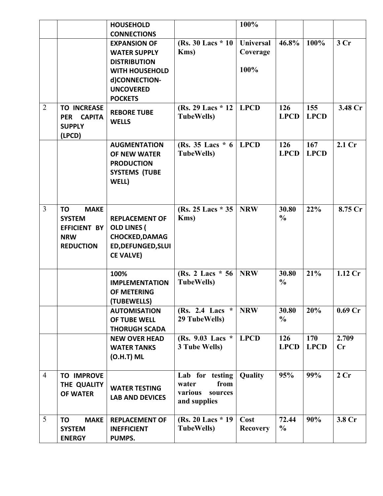|                |                                                                                                    | <b>HOUSEHOLD</b>                                                                                                                                  |                                                                        | 100%                                 |                        |                    |                    |
|----------------|----------------------------------------------------------------------------------------------------|---------------------------------------------------------------------------------------------------------------------------------------------------|------------------------------------------------------------------------|--------------------------------------|------------------------|--------------------|--------------------|
|                |                                                                                                    | <b>CONNECTIONS</b>                                                                                                                                |                                                                        |                                      |                        |                    |                    |
|                |                                                                                                    | <b>EXPANSION OF</b><br><b>WATER SUPPLY</b><br><b>DISTRIBUTION</b><br><b>WITH HOUSEHOLD</b><br>d)CONNECTION-<br><b>UNCOVERED</b><br><b>POCKETS</b> | (Rs. 30 Lacs * 10)<br>Kms)                                             | <b>Universal</b><br>Coverage<br>100% | 46.8%                  | 100%               | 3Cr                |
| $\overline{2}$ | <b>TO INCREASE</b><br>PER CAPITA<br><b>SUPPLY</b><br>(LPCD)                                        | <b>REBORE TUBE</b><br><b>WELLS</b>                                                                                                                | (Rs. 29 Lacs $*$ 12<br><b>TubeWells</b> )                              | <b>LPCD</b>                          | 126<br><b>LPCD</b>     | 155<br><b>LPCD</b> | 3.48 Cr            |
|                |                                                                                                    | <b>AUGMENTATION</b><br>OF NEW WATER<br><b>PRODUCTION</b><br><b>SYSTEMS (TUBE</b><br>WELL)                                                         | (Rs. 35 Lacs $*$ 6  <br><b>TubeWells</b> )                             | <b>LPCD</b>                          | 126<br><b>LPCD</b>     | 167<br><b>LPCD</b> | 2.1 Cr             |
| $\overline{3}$ | <b>MAKE</b><br><b>TO</b><br><b>SYSTEM</b><br><b>EFFICIENT BY</b><br><b>NRW</b><br><b>REDUCTION</b> | <b>REPLACEMENT OF</b><br><b>OLD LINES (</b><br><b>CHOCKED, DAMAG</b><br><b>ED, DEFUNGED, SLUI</b><br><b>CE VALVE)</b>                             | (Rs. 25 Lacs * 35   NRW)<br>Kms)                                       |                                      | 30.80<br>$\frac{0}{0}$ | 22%                | 8.75 Cr            |
|                |                                                                                                    | 100%<br><b>IMPLEMENTATION</b><br>OF METERING<br>(TUBEWELLS)                                                                                       | (Rs. 2 Lacs $* 56$ )<br><b>TubeWells</b> )                             | <b>NRW</b>                           | 30.80<br>$\frac{0}{0}$ | 21%                | 1.12 Cr            |
|                |                                                                                                    | <b>AUTOMISATION</b><br>OF TUBE WELL<br><b>THORUGH SCADA</b>                                                                                       | (Rs. 2.4 Lacs $*$<br>29 TubeWells)                                     | <b>NRW</b>                           | 30.80<br>$\frac{0}{0}$ | 20%                | 0.69 <sub>cr</sub> |
|                |                                                                                                    | <b>NEW OVER HEAD</b><br><b>WATER TANKS</b><br>$(O.H.T)$ ML                                                                                        | (Rs. 9.03 Lacs *<br>3 Tube Wells)                                      | <b>LPCD</b>                          | 126<br><b>LPCD</b>     | 170<br><b>LPCD</b> | 2.709<br>Cr        |
| $\overline{4}$ | <b>TO IMPROVE</b><br>THE QUALITY<br><b>OF WATER</b>                                                | <b>WATER TESTING</b><br><b>LAB AND DEVICES</b>                                                                                                    | Lab for testing<br>from<br>water<br>various<br>sources<br>and supplies | Quality                              | 95%                    | 99%                | 2 Cr               |
| 5              | <b>MAKE</b><br>TO<br><b>SYSTEM</b><br><b>ENERGY</b>                                                | <b>REPLACEMENT OF</b><br><b>INEFFICIENT</b><br>PUMPS.                                                                                             | (Rs. 20 Lacs * 19)<br><b>TubeWells</b> )                               | Cost<br><b>Recovery</b>              | 72.44<br>$\frac{0}{0}$ | 90%                | 3.8 Cr             |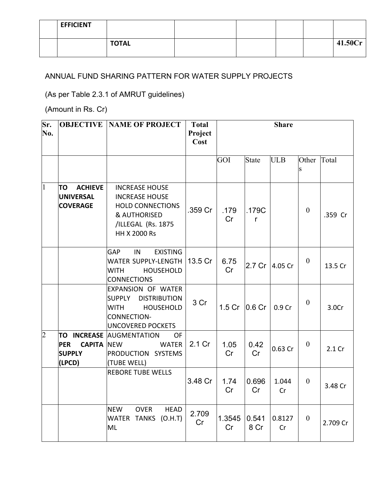| <b>EFFICIENT</b> |              |  |  |         |
|------------------|--------------|--|--|---------|
|                  | <b>TOTAL</b> |  |  | 41.50Cr |

### ANNUAL FUND SHARING PATTERN FOR WATER SUPPLY PROJECTS

(As per Table 2.3.1 of AMRUT guidelines)

(Amount in Rs. Cr)

| Sr.<br>No.     |                                                                                 | <b>OBJECTIVE NAME OF PROJECT</b>                                                                                                                | <b>Total</b><br>Project<br>Cost |                   |                    | <b>Share</b> |                |          |
|----------------|---------------------------------------------------------------------------------|-------------------------------------------------------------------------------------------------------------------------------------------------|---------------------------------|-------------------|--------------------|--------------|----------------|----------|
|                |                                                                                 |                                                                                                                                                 |                                 | GOI               | <b>State</b>       | <b>ULB</b>   | Other<br>S     | Total    |
| $\overline{1}$ | <b>ACHIEVE</b><br>TO<br><b>UNIVERSAL</b><br><b>COVERAGE</b>                     | <b>INCREASE HOUSE</b><br><b>INCREASE HOUSE</b><br><b>HOLD CONNECTIONS</b><br><b>&amp; AUTHORISED</b><br>/ILLEGAL (Rs. 1875<br>HH X 2000 Rs      | .359 Cr                         | .179<br>Cr        | .179C<br>r         |              | $\mathbf{0}$   | .359 Cr  |
|                |                                                                                 | <b>EXISTING</b><br>GAP<br>IN<br>WATER SUPPLY-LENGTH<br><b>WITH</b><br><b>HOUSEHOLD</b><br><b>CONNECTIONS</b>                                    | 13.5 Cr                         | 6.75<br>Cr        | 2.7 <sub>cr</sub>  | 4.05 Cr      | $\mathbf{0}$   | 13.5 Cr  |
|                |                                                                                 | <b>EXPANSION OF WATER</b><br><b>SUPPLY</b><br><b>DISTRIBUTION</b><br><b>WITH</b><br>HOUSEHOLD<br><b>CONNECTION-</b><br><b>UNCOVERED POCKETS</b> | 3 Cr                            | 1.5 <sub>cr</sub> | $ 0.6 \text{ Cr} $ | 0.9 Cr       | $\mathbf{0}$   | 3.0Cr    |
| $\overline{2}$ | <b>INCREASE</b><br>ΤO<br><b>PER</b><br><b>CAPITA</b><br><b>SUPPLY</b><br>(LPCD) | <b>AUGMENTATION</b><br><b>OF</b><br><b>NEW</b><br><b>WATER</b><br>PRODUCTION SYSTEMS<br>(TUBE WELL)                                             | 2.1 Cr                          | 1.05<br>Cr        | 0.42<br>Cr         | 0.63 Cr      | $\theta$       | 2.1 Cr   |
|                |                                                                                 | <b>REBORE TUBE WELLS</b>                                                                                                                        | 3.48 Cr                         | 1.74<br>Cr        | 0.696<br>Cr        | 1.044<br>Cr  | $\overline{0}$ | 3.48 Cr  |
|                |                                                                                 | <b>OVER</b><br><b>NEW</b><br><b>HEAD</b><br>WATER TANKS (O.H.T)<br>ML                                                                           | 2.709<br>Cr                     | 1.3545<br>Cr      | 0.541<br>8 Cr      | 0.8127<br>Cr | $\mathbf{0}$   | 2.709 Cr |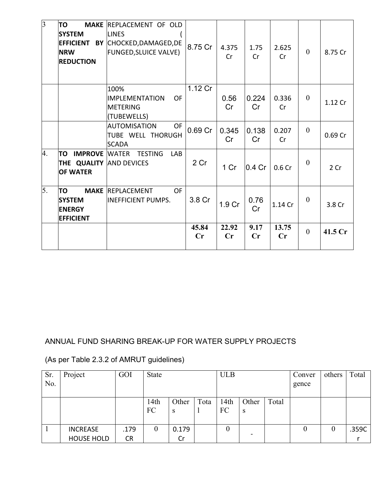| $\overline{3}$ | TO<br><b>SYSTEM</b><br><b>EFFICIENT</b><br><b>NRW</b><br><b>REDUCTION</b> | <b>MAKE REPLACEMENT OF OLD</b><br><b>LINES</b><br>BY CHOCKED, DAMAGED, DE<br><b>FUNGED, SLUICE VALVE)</b> | 8.75 Cr                 | 4.375<br>Cr             | 1.75<br>Cr  | 2.625<br>Cr             | $\overline{0}$ | 8.75 Cr |
|----------------|---------------------------------------------------------------------------|-----------------------------------------------------------------------------------------------------------|-------------------------|-------------------------|-------------|-------------------------|----------------|---------|
|                |                                                                           | 100%<br>OF<br>IIMPLEMENTATION<br>METERING<br>(TUBEWELLS)                                                  | 1.12 Cr                 | 0.56<br>Cr              | 0.224<br>Cr | 0.336<br>Cr             | $\mathbf{0}$   | 1.12 Cr |
|                |                                                                           | <b>AUTOMISATION</b><br><b>OF</b><br>TUBE WELL THORUGH<br><b>SCADA</b>                                     | 0.69 Cr                 | 0.345<br>Cr             | 0.138<br>Cr | 0.207<br>Cr             | $\overline{0}$ | 0.69 Cr |
| 4.             | TO<br><b>IMPROVE</b><br>THE QUALITY AND DEVICES<br><b>OF WATER</b>        | <b>WATER</b><br><b>TESTING</b><br>LAB                                                                     | 2 Cr                    | 1 Cr                    | $0.4$ Cr    | 0.6 <sub>cr</sub>       | $\overline{0}$ | 2 Cr    |
| 5.             | TO<br><b>SYSTEM</b><br><b>ENERGY</b><br><b>EFFICIENT</b>                  | <b>MAKE REPLACEMENT</b><br><b>OF</b><br><b>INEFFICIENT PUMPS.</b>                                         | 3.8 Cr                  | 1.9 Cr                  | 0.76<br>Cr  | 1.14 Cr                 | $\theta$       | 3.8 Cr  |
|                |                                                                           |                                                                                                           | 45.84<br>$\mathbf{C}$ r | 22.92<br>$\mathbf{C}$ r | 9.17<br>Cr  | 13.75<br>$\mathbf{C}$ r | $\overline{0}$ | 41.5 Cr |

## ANNUAL FUND SHARING BREAK-UP FOR WATER SUPPLY PROJECTS

| Sr.<br>No. | Project           | GOI       | <b>State</b>   |            |      | <b>ULB</b> |            |       | Conver<br>gence | others | Total |
|------------|-------------------|-----------|----------------|------------|------|------------|------------|-------|-----------------|--------|-------|
|            |                   |           | 14th<br>FC     | Other<br>S | Tota | 14th<br>FC | Other<br>S | Total |                 |        |       |
|            | <b>INCREASE</b>   | .179      | $\overline{0}$ | 0.179      |      | 0          |            |       | $\theta$        | 0      | .359C |
|            | <b>HOUSE HOLD</b> | <b>CR</b> |                | Cr         |      |            |            |       |                 |        |       |

(As per Table 2.3.2 of AMRUT guidelines)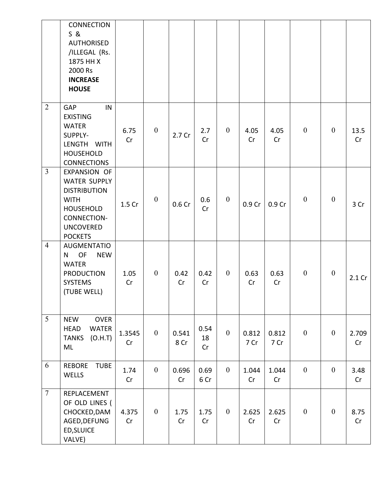|                | <b>CONNECTION</b><br>S &<br><b>AUTHORISED</b><br>/ILLEGAL (Rs.<br>1875 HH X<br>2000 Rs<br><b>INCREASE</b><br><b>HOUSE</b>                   |              |                  |               |                  |                  |               |               |                  |                  |             |
|----------------|---------------------------------------------------------------------------------------------------------------------------------------------|--------------|------------------|---------------|------------------|------------------|---------------|---------------|------------------|------------------|-------------|
| $\overline{2}$ | IN<br><b>GAP</b><br><b>EXISTING</b><br><b>WATER</b><br>SUPPLY-<br>LENGTH WITH<br><b>HOUSEHOLD</b><br><b>CONNECTIONS</b>                     | 6.75<br>Cr   | $\boldsymbol{0}$ | 2.7 Cr        | 2.7<br>Cr        | $\mathbf{0}$     | 4.05<br>Cr    | 4.05<br>Cr    | $\boldsymbol{0}$ | $\boldsymbol{0}$ | 13.5<br>Cr  |
| $\overline{3}$ | EXPANSION OF<br>WATER SUPPLY<br><b>DISTRIBUTION</b><br><b>WITH</b><br><b>HOUSEHOLD</b><br>CONNECTION-<br><b>UNCOVERED</b><br><b>POCKETS</b> | 1.5 Cr       | $\boldsymbol{0}$ | 0.6 Cr        | 0.6<br>Cr        | $\boldsymbol{0}$ | 0.9 Cr        | 0.9 Cr        | $\mathbf{0}$     | $\mathbf{0}$     | 3 Cr        |
| $\overline{4}$ | <b>AUGMENTATIO</b><br><b>NEW</b><br>OF<br>N.<br><b>WATER</b><br><b>PRODUCTION</b><br><b>SYSTEMS</b><br>(TUBE WELL)                          | 1.05<br>Cr   | $\overline{0}$   | 0.42<br>Cr    | 0.42<br>Cr       | $\overline{0}$   | 0.63<br>Cr    | 0.63<br>Cr    | $\boldsymbol{0}$ | $\boldsymbol{0}$ | $2.1$ Cr    |
| 5              | <b>OVER</b><br><b>NEW</b><br>WATER<br><b>HEAD</b><br><b>TANKS</b><br>(O.H.T)<br>ML                                                          | 1.3545<br>Cr | $\boldsymbol{0}$ | 0.541<br>8 Cr | 0.54<br>18<br>Cr | $\boldsymbol{0}$ | 0.812<br>7 Cr | 0.812<br>7 Cr | $\mathbf{0}$     | $\boldsymbol{0}$ | 2.709<br>Cr |
| 6              | <b>REBORE</b><br><b>TUBE</b><br>WELLS                                                                                                       | 1.74<br>Cr   | $\boldsymbol{0}$ | 0.696<br>Cr   | 0.69<br>6 Cr     | $\mathbf{0}$     | 1.044<br>Cr   | 1.044<br>Cr   | $\mathbf{0}$     | $\boldsymbol{0}$ | 3.48<br>Cr  |
| $\overline{7}$ | REPLACEMENT<br>OF OLD LINES (<br>CHOCKED, DAM<br>AGED, DEFUNG<br>ED, SLUICE<br>VALVE)                                                       | 4.375<br>Cr  | $\boldsymbol{0}$ | 1.75<br>Cr    | 1.75<br>Cr       | $\overline{0}$   | 2.625<br>Cr   | 2.625<br>Cr   | $\boldsymbol{0}$ | $\boldsymbol{0}$ | 8.75<br>Cr  |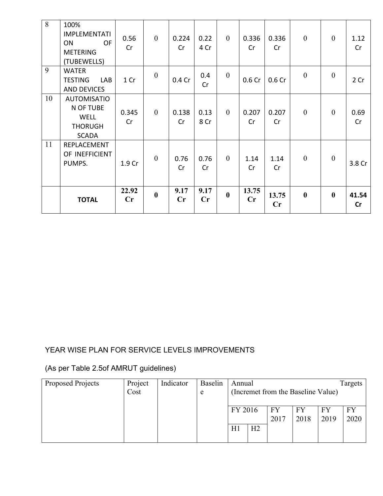| 8  | 100%<br><b>IMPLEMENTATI</b><br>OF<br><b>ON</b><br><b>METERING</b><br>(TUBEWELLS) | 0.56<br>Cr  | $\mathbf{0}$     | 0.224<br>Cr | 0.22<br>4 Cr           | $\overline{0}$   | 0.336<br>Cr       | 0.336<br>Cr | $\mathbf{0}$     | $\mathbf{0}$     | 1.12<br>Cr  |
|----|----------------------------------------------------------------------------------|-------------|------------------|-------------|------------------------|------------------|-------------------|-------------|------------------|------------------|-------------|
| 9  | <b>WATER</b><br><b>TESTING</b><br>LAB<br><b>AND DEVICES</b>                      | 1 Cr        | $\boldsymbol{0}$ | 0.4 Cr      | 0.4<br>Cr              | $\boldsymbol{0}$ | 0.6 <sub>cr</sub> | 0.6 Cr      | $\mathbf{0}$     | $\boldsymbol{0}$ | 2 Cr        |
| 10 | <b>AUTOMISATIO</b><br>N OF TUBE<br><b>WELL</b><br><b>THORUGH</b><br><b>SCADA</b> | 0.345<br>Cr | $\overline{0}$   | 0.138<br>Cr | 0.13<br>8 Cr           | $\mathbf{0}$     | 0.207<br>Cr       | 0.207<br>Cr | $\overline{0}$   | $\overline{0}$   | 0.69<br>Cr  |
| 11 | REPLACEMENT<br>OF INEFFICIENT<br>PUMPS.                                          | 1.9 Cr      | $\theta$         | 0.76<br>Cr  | 0.76<br>Cr             | $\overline{0}$   | 1.14<br>Cr        | 1.14<br>Cr  | $\theta$         | $\mathbf{0}$     | 3.8 Cr      |
|    | <b>TOTAL</b>                                                                     | 22.92<br>Cr | $\bf{0}$         | 9.17<br>Cr  | 9.17<br>$\mathbf{C}$ r | $\bf{0}$         | 13.75<br>Cr       | 13.75<br>Cr | $\boldsymbol{0}$ | $\bf{0}$         | 41.54<br>cr |

### YEAR WISE PLAN FOR SERVICE LEVELS IMPROVEMENTS

## (As per Table 2.5of AMRUT guidelines)

| Proposed Projects | Project | Indicator | <b>Baselin</b> | Annual                             |                |            |            |            | Targets    |
|-------------------|---------|-----------|----------------|------------------------------------|----------------|------------|------------|------------|------------|
|                   | Cost    |           | e              | (Incremet from the Baseline Value) |                |            |            |            |            |
|                   |         |           |                | FY 2016                            |                | FY<br>2017 | FY<br>2018 | FY<br>2019 | FY<br>2020 |
|                   |         |           |                | H1                                 | H <sub>2</sub> |            |            |            |            |
|                   |         |           |                |                                    |                |            |            |            |            |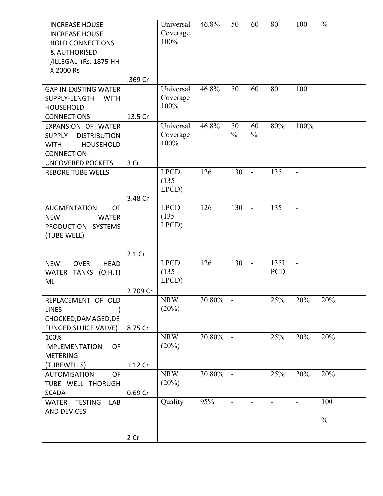| <b>INCREASE HOUSE</b>                    |          | Universal   | 46.8%  | 50                       | 60                       | 80             | 100            | $\frac{0}{0}$ |  |
|------------------------------------------|----------|-------------|--------|--------------------------|--------------------------|----------------|----------------|---------------|--|
| <b>INCREASE HOUSE</b>                    |          | Coverage    |        |                          |                          |                |                |               |  |
| <b>HOLD CONNECTIONS</b>                  |          | 100%        |        |                          |                          |                |                |               |  |
| <b>&amp; AUTHORISED</b>                  |          |             |        |                          |                          |                |                |               |  |
| /ILLEGAL (Rs. 1875 HH                    |          |             |        |                          |                          |                |                |               |  |
| X 2000 Rs                                |          |             |        |                          |                          |                |                |               |  |
|                                          | .369 Cr  |             |        |                          |                          |                |                |               |  |
| <b>GAP IN EXISTING WATER</b>             |          | Universal   | 46.8%  | 50                       | 60                       | 80             | 100            |               |  |
| SUPPLY-LENGTH<br><b>WITH</b>             |          | Coverage    |        |                          |                          |                |                |               |  |
| <b>HOUSEHOLD</b>                         |          | 100%        |        |                          |                          |                |                |               |  |
| <b>CONNECTIONS</b>                       | 13.5 Cr  |             |        |                          |                          |                |                |               |  |
| EXPANSION OF WATER                       |          | Universal   | 46.8%  | 50                       | 60                       | 80%            | 100%           |               |  |
| <b>SUPPLY</b><br><b>DISTRIBUTION</b>     |          | Coverage    |        | $\frac{0}{0}$            | $\frac{0}{0}$            |                |                |               |  |
| <b>WITH</b><br><b>HOUSEHOLD</b>          |          | 100%        |        |                          |                          |                |                |               |  |
| <b>CONNECTION-</b>                       |          |             |        |                          |                          |                |                |               |  |
| <b>UNCOVERED POCKETS</b>                 | 3 Cr     |             |        |                          |                          |                |                |               |  |
| <b>REBORE TUBE WELLS</b>                 |          | <b>LPCD</b> | 126    | 130                      | $\blacksquare$           | 135            | $\blacksquare$ |               |  |
|                                          |          | (135)       |        |                          |                          |                |                |               |  |
|                                          |          | LPCD)       |        |                          |                          |                |                |               |  |
|                                          | 3.48 Cr  |             |        |                          |                          |                |                |               |  |
| <b>OF</b><br><b>AUGMENTATION</b>         |          | <b>LPCD</b> | 126    | 130                      | $\overline{a}$           | 135            | $\blacksquare$ |               |  |
| <b>NEW</b><br><b>WATER</b>               |          | (135)       |        |                          |                          |                |                |               |  |
| PRODUCTION SYSTEMS                       |          | LPCD)       |        |                          |                          |                |                |               |  |
| (TUBE WELL)                              |          |             |        |                          |                          |                |                |               |  |
|                                          |          |             |        |                          |                          |                |                |               |  |
|                                          | 2.1 Cr   |             |        |                          |                          |                |                |               |  |
| <b>HEAD</b><br><b>NEW</b><br><b>OVER</b> |          | <b>LPCD</b> | 126    | 130                      | $\overline{\phantom{a}}$ | 135L           |                |               |  |
| WATER TANKS (O.H.T)                      |          | (135)       |        |                          |                          | <b>PCD</b>     |                |               |  |
| ML                                       |          | LPCD)       |        |                          |                          |                |                |               |  |
|                                          | 2.709 Cr |             |        |                          |                          |                |                |               |  |
| REPLACEMENT OF OLD                       |          | <b>NRW</b>  | 30.80% |                          |                          | 25%            | 20%            | $20\%$        |  |
| <b>LINES</b>                             |          | (20%)       |        |                          |                          |                |                |               |  |
| CHOCKED, DAMAGED, DE                     |          |             |        |                          |                          |                |                |               |  |
| <b>FUNGED, SLUICE VALVE)</b>             | 8.75 Cr  |             |        |                          |                          |                |                |               |  |
| 100%                                     |          | <b>NRW</b>  | 30.80% | $\blacksquare$           |                          | 25%            | 20%            | 20%           |  |
| <b>OF</b><br><b>IMPLEMENTATION</b>       |          | (20%)       |        |                          |                          |                |                |               |  |
| <b>METERING</b>                          |          |             |        |                          |                          |                |                |               |  |
| (TUBEWELLS)                              | 1.12 Cr  |             |        |                          |                          |                |                |               |  |
| <b>AUTOMISATION</b><br>OF                |          | <b>NRW</b>  | 30.80% | $\overline{\phantom{a}}$ |                          | 25%            | 20%            | 20%           |  |
| TUBE WELL THORUGH                        |          | (20%)       |        |                          |                          |                |                |               |  |
| <b>SCADA</b>                             | 0.69 Cr  |             |        |                          |                          |                |                |               |  |
| <b>TESTING</b><br>LAB<br>WATER           |          | Quality     | 95%    | $\blacksquare$           | $\blacksquare$           | $\blacksquare$ | $\blacksquare$ | 100           |  |
| <b>AND DEVICES</b>                       |          |             |        |                          |                          |                |                |               |  |
|                                          |          |             |        |                          |                          |                |                | $\frac{0}{0}$ |  |
|                                          |          |             |        |                          |                          |                |                |               |  |
|                                          | 2 Cr     |             |        |                          |                          |                |                |               |  |